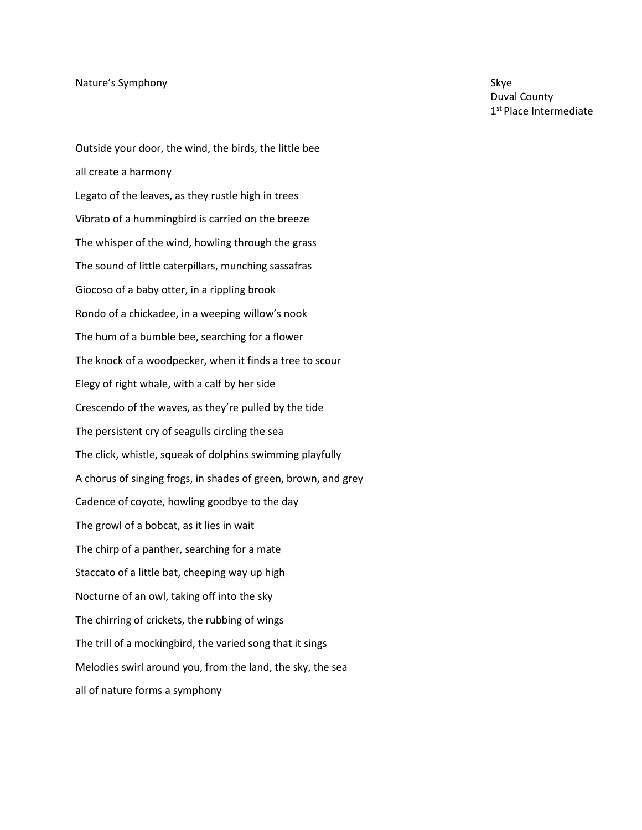Outside your door, the wind, the birds, the little bee all create a harmony Legato of the leaves, as they rustle high in trees Vibrato of a hummingbird is carried on the breeze The whisper of the wind, howling through the grass The sound of little caterpillars, munching sassafras Giocoso of a baby otter, in a rippling brook Rondo of a chickadee, in a weeping willow's nook The hum of a bumble bee, searching for a flower The knock of a woodpecker, when it finds a tree to scour Elegy of right whale, with a calf by her side Crescendo of the waves, as they're pulled by the tide The persistent cry of seagulls circling the sea The click, whistle, squeak of dolphins swimming playfully A chorus of singing frogs, in shades of green, brown, and grey Cadence of coyote, howling goodbye to the day The growl of a bobcat, as it lies in wait The chirp of a panther, searching for a mate Staccato of a little bat, cheeping way up high Nocturne of an owl, taking off into the sky The chirring of crickets, the rubbing of wings The trill of a mockingbird, the varied song that it sings Melodies swirl around you, from the land, the sky, the sea all of nature forms a symphony

Duval County 1 st Place Intermediate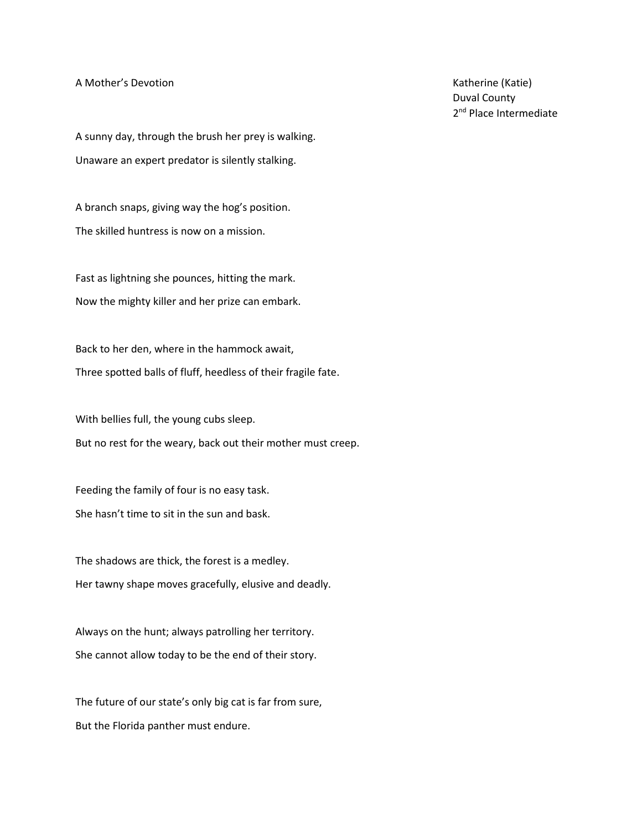A Mother's Devotion

A sunny day, through the brush her prey is walking. Unaware an expert predator is silently stalking.

A branch snaps, giving way the hog's position. The skilled huntress is now on a mission.

Fast as lightning she pounces, hitting the mark. Now the mighty killer and her prize can embark.

Back to her den, where in the hammock await, Three spotted balls of fluff, heedless of their fragile fate.

With bellies full, the young cubs sleep.

But no rest for the weary, back out their mother must creep.

Feeding the family of four is no easy task. She hasn't time to sit in the sun and bask.

The shadows are thick, the forest is a medley. Her tawny shape moves gracefully, elusive and deadly.

Always on the hunt; always patrolling her territory. She cannot allow today to be the end of their story.

The future of our state's only big cat is far from sure, But the Florida panther must endure.

Katherine (Katie) Duval County 2<sup>nd</sup> Place Intermediate